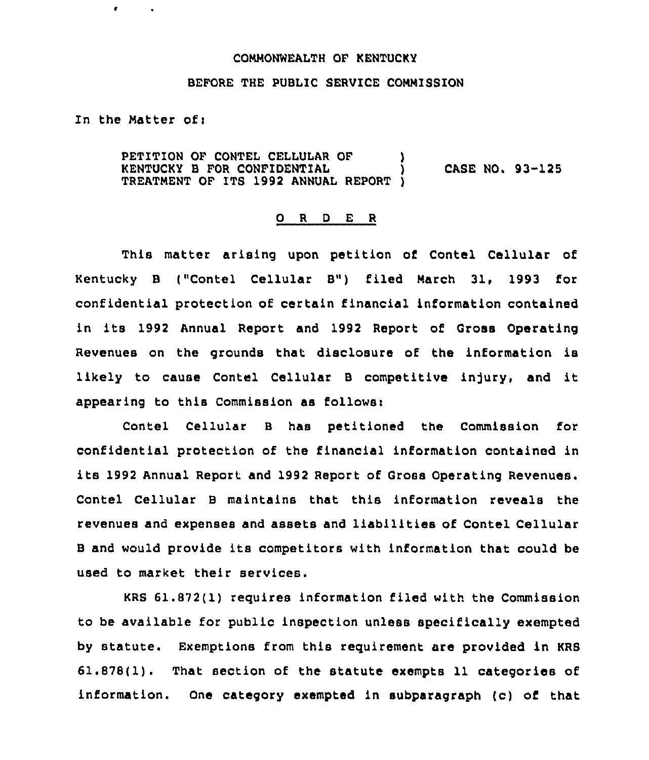## COMMONWEAITH OF KENTUCKY

## BEFORE THE PUBLIC SERVICE COMMISSION

In the Matter of:

 $\bullet$ 

PETITION OF CONTEL CELLULAR OF  $\qquad$ ) KENTUCKY <sup>B</sup> FOR CONFIDENTIAL ) CASE NO. 93-125 TREATMENT QF ITS 1992 ANNUAL REPORT )

## 0 <sup>R</sup> <sup>D</sup> E <sup>R</sup>

This matter arising upon petition of Contel Cellular of Kentucky <sup>B</sup> ("Contel Cellular B") filed March 31, 1993 for confidential protection of certain financial information contained in its 1992 Annual Report and 1992 Report of Gross Operating Revenues on the grounds that disclosure of the information is likely to cause Contel Cellular <sup>B</sup> competitive injury, and it appearing to this Commission as follows:

Contel Cellular B has petitioned the Commission for confidential protection of the financial information contained in its 1992 Annual Report and 1992 Report of Gross Operating Revenues. Contel Cellular <sup>B</sup> maintains that this information reveals the revenues and expenses and assets and liabilities of Contel Cellular <sup>B</sup> and would provide its competitors with information that could be Used to market their services.

KRS 61.872(1) reguires information filed with the Commission to be available for public inspection unless specifically exempted by statute. Exemptions from this requirement are provided in KRB 61.878(1). That section of the statute exempts 11 categories of information. One category exempted in subparagraph (c) of that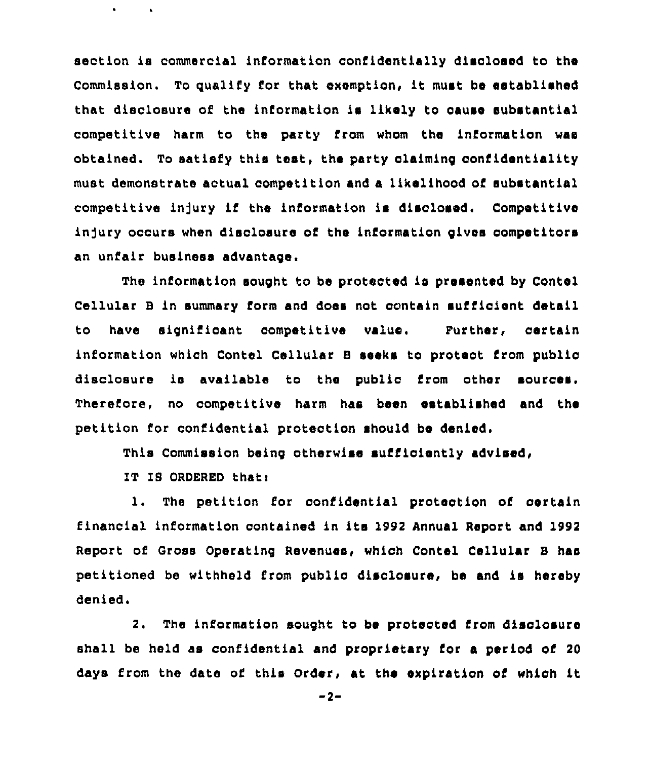section is commercial information confidentially disclosed to the Commission. To quality for that exemption, it must be established that disclosure of the information is likely to cause substantial competitive harm to the party from whom the information was obtained. To satisfy this test, the party claiming confidentiality must demonstrate actual competition and a likelihood of substantial competitive injury if the information is disclosed, Competitive injury occurs when disclosure of the information gives competitors an unfair business advantage.

The information sought to be protected is presented by Conte Cellular B in summary form and does not contain sufficient detail to have significant competitive Further, certain information which Contel Cellular B seeks to protect from public disclosure ls available to the public from other sources. Therefore, no competitive harm has been established and ths petition for confidential protection should be denied.

This Commission being otherwise sufficiently advised,

IT IS ORDERED thatt

 $\bullet$ 

1. The petition for confidential protection of certain financial information contained in its 1992 Annual Report and 1992 Report of Gross Operating Revenues, which Contel Cellular B has petitioned be withheld from public disclosure, be and is hereby denied.

2. The information sought to be protected from disclosure shall be held as confidential and proprietary for a period of 20 days from the date of. this Order, at the expiration of which it

 $-2-$